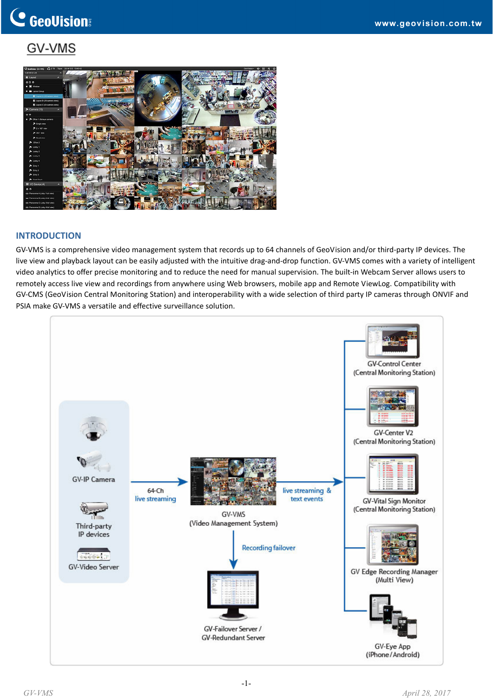### GV-VMS



#### **INTRODUCTION**

GV‐VMS is a comprehensive video management system that records up to 64 channels of GeoVision and/or third‐party IP devices. The live view and playback layout can be easily adjusted with the intuitive drag‐and‐drop function. GV‐VMS comes with a variety of intelligent video analytics to offer precise monitoring and to reduce the need for manual supervision. The built-in Webcam Server allows users to remotely access live view and recordings from anywhere using Web browsers, mobile app and Remote ViewLog. Compatibility with GV‐CMS (GeoVision Central Monitoring Station) and interoperability with a wide selection of third party IP cameras through ONVIF and PSIA make GV‐VMS a versatile and effective surveillance solution.

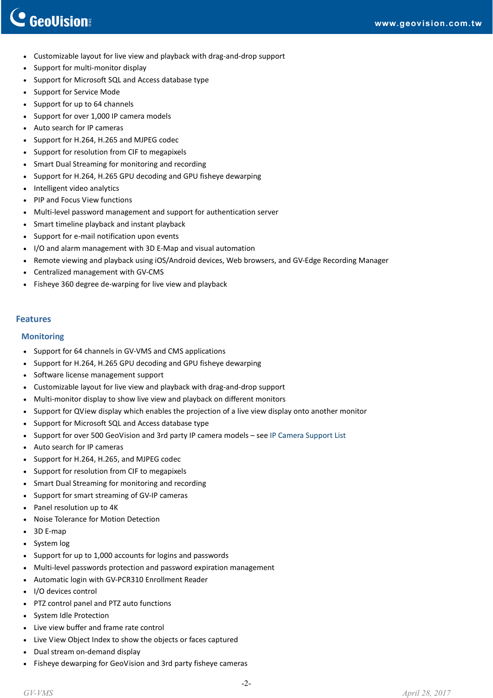## C GeoVision

- Customizable layout for live view and playback with drag‐and‐drop support
- Support for multi‐monitor display
- Support for Microsoft SQL and Access database type
- Support for Service Mode
- Support for up to 64 channels
- Support for over 1,000 IP camera models
- Auto search for IP cameras
- Support for H.264, H.265 and MJPEG codec
- Support for resolution from CIF to megapixels
- Smart Dual Streaming for monitoring and recording
- Support for H.264, H.265 GPU decoding and GPU fisheye dewarping
- Intelligent video analytics
- PIP and Focus View functions
- Multi‐level password management and support for authentication server
- Smart timeline playback and instant playback
- Support for e‐mail notification upon events
- I/O and alarm management with 3D E‐Map and visual automation
- Remote viewing and playback using iOS/Android devices, Web browsers, and GV‐Edge Recording Manager
- Centralized management with GV‐CMS
- Fisheye 360 degree de‐warping for live view and playback

#### **Features**

#### **Monitoring**

- Support for 64 channels in GV-VMS and CMS applications
- Support for H.264, H.265 GPU decoding and GPU fisheye dewarping
- Software license management support
- Customizable layout for live view and playback with drag-and-drop support
- Multi‐monitor display to show live view and playback on different monitors
- Support for QView display which enables the projection of a live view display onto another monitor
- Support for Microsoft SQL and Access database type
- Support for over 500 GeoVision and 3rd party IP camera models see IP Camera [Support](http://www.geovision.com.tw/english/4_21.asp) List
- Auto search for IP cameras
- Support for H.264, H.265, and MJPEG codec
- Support for resolution from CIF to megapixels
- Smart Dual Streaming for monitoring and recording
- Support for smart streaming of GV‐IP cameras
- Panel resolution up to 4K
- Noise Tolerance for Motion Detection
- 3D E‐map
- System log
- Support for up to 1,000 accounts for logins and passwords
- Multi‐level passwords protection and password expiration management
- Automatic login with GV‐PCR310 Enrollment Reader
- I/O devices control
- PTZ control panel and PTZ auto functions
- System Idle Protection
- Live view buffer and frame rate control
- Live View Object Index to show the objects or faces captured
- Dual stream on‐demand display
- Fisheye dewarping for GeoVision and 3rd party fisheye cameras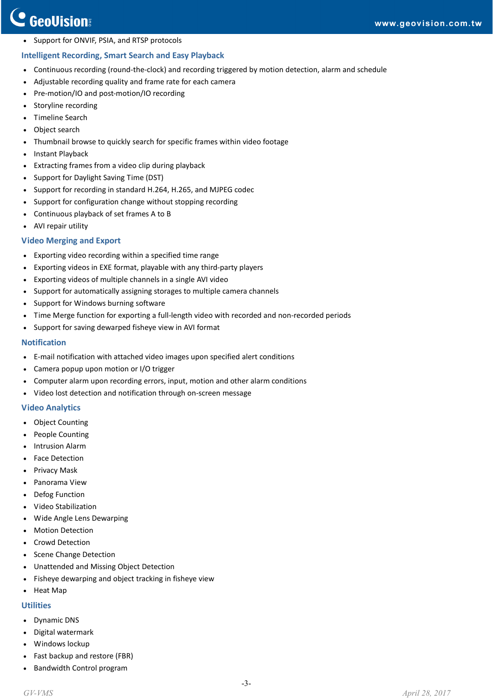#### • Support for ONVIF, PSIA, and RTSP protocols

#### **Intelligent Recording, Smart Search and Easy Playback**

- Continuous recording (round‐the‐clock) and recording triggered by motion detection, alarm and schedule
- Adjustable recording quality and frame rate for each camera
- Pre-motion/IO and post-motion/IO recording
- Storyline recording
- Timeline Search
- Object search
- Thumbnail browse to quickly search for specific frames within video footage
- Instant Playback
- Extracting frames from a video clip during playback
- Support for Daylight Saving Time (DST)
- Support for recording in standard H.264, H.265, and MJPEG codec
- Support for configuration change without stopping recording
- Continuous playback of set frames A to B
- AVI repair utility

#### **Video Merging and Export**

- Exporting video recording within a specified time range
- Exporting videos in EXE format, playable with any third‐party players
- Exporting videos of multiple channels in a single AVI video
- Support for automatically assigning storages to multiple camera channels
- Support for Windows burning software
- Time Merge function for exporting a full-length video with recorded and non-recorded periods
- Support for saving dewarped fisheye view in AVI format

#### **Notification**

- E-mail notification with attached video images upon specified alert conditions
- Camera popup upon motion or I/O trigger
- Computer alarm upon recording errors, input, motion and other alarm conditions
- Video lost detection and notification through on‐screen message

#### **Video Analytics**

- Object Counting
- People Counting
- Intrusion Alarm
- Face Detection
- Privacy Mask
- Panorama View
- Defog Function
- Video Stabilization
- Wide Angle Lens Dewarping
- **Motion Detection**
- Crowd Detection
- Scene Change Detection
- Unattended and Missing Object Detection
- Fisheye dewarping and object tracking in fisheye view
- Heat Map

#### **Utilities**

- Dynamic DNS
- Digital watermark
- Windows lockup
- Fast backup and restore (FBR)
- Bandwidth Control program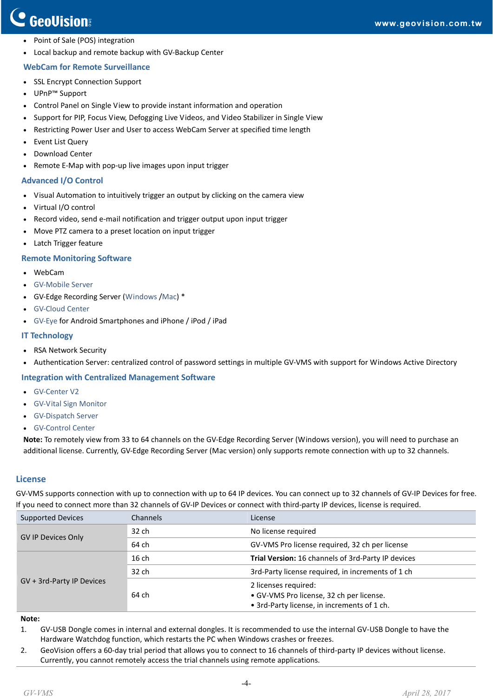## C GeoVision

- Point of Sale (POS) integration
- Local backup and remote backup with GV‐Backup Center

#### **WebCam for Remote Surveillance**

- SSL Encrypt Connection Support
- UPnP™ Support
- Control Panel on Single View to provide instant information and operation
- Support for PIP, Focus View, Defogging Live Videos, and Video Stabilizer in Single View
- Restricting Power User and User to access WebCam Server at specified time length
- **Event List Query**
- Download Center
- Remote E‐Map with pop‐up live images upon input trigger

#### **Advanced I/O Control**

- Visual Automation to intuitively trigger an output by clicking on the camera view
- Virtual I/O control
- Record video, send e-mail notification and trigger output upon input trigger
- Move PTZ camera to a preset location on input trigger
- Latch Trigger feature

#### **Remote Monitoring Software**

- WebCam
- GV‐[Mobile](http://www.geovision.com.tw/english/Prod_GVMobileserver.asp) Server
- GV‐Edge Recording Server [\(Windows](http://www.geovision.com.tw/english/Prod_GVEdgeRecording_Win.asp) /[Mac](http://www.geovision.com.tw/english/Prod_GVEdgeRecording_Mac.asp)) \*
- GV-Cloud [Center](http://www.geovision.com.tw/myGVcloud/HCW120.asp)
- GV‐[Eye](http://www.geovision.com.tw/english/5_4.asp) for Android Smartphones and iPhone / iPod / iPad

#### **IT Technology**

- RSA Network Security
- Authentication Server: centralized control of password settings in multiple GV‐VMS with support for Windows Active Directory

#### **Integration with Centralized Management Software**

- GV-[Center](http://www.geovision.com.tw/english/Prod_GVCV2.asp) V2
- GV‐Vital Sign [Monitor](http://www.geovision.com.tw/english/Prod_GVVSM.asp)
- GV‐[Dispatch](http://www.geovision.com.tw/english/Prod_GVDS.asp) Server
- GV-[Control](http://www.geovision.com.tw/english/Prod_GVCCSV3.asp) Center

**Note:** To remotely view from 33 to 64 channels on the GV‐Edge Recording Server (Windows version), you will need to purchase an additional license. Currently, GV‐Edge Recording Server (Mac version) only supports remote connection with up to 32 channels.

#### **License**

GV-VMS supports connection with up to connection with up to 64 IP devices. You can connect up to 32 channels of GV-IP Devices for free. If you need to connect more than 32 channels of GV-IP Devices or connect with third-party IP devices, license is required.

| <b>Supported Devices</b>  | Channels | License                                                                                                         |  |
|---------------------------|----------|-----------------------------------------------------------------------------------------------------------------|--|
| <b>GV IP Devices Only</b> | 32 ch    | No license required                                                                                             |  |
|                           | 64 ch    | GV-VMS Pro license required, 32 ch per license                                                                  |  |
| GV + 3rd-Party IP Devices | 16ch     | Trial Version: 16 channels of 3rd-Party IP devices                                                              |  |
|                           | 32 ch    | 3rd-Party license required, in increments of 1 ch                                                               |  |
|                           | 64 ch    | 2 licenses required:<br>· GV-VMS Pro license, 32 ch per license.<br>• 3rd-Party license, in increments of 1 ch. |  |

#### **Note:**

- 1. GV‐USB Dongle comes in internal and external dongles. It is recommended to use the internal GV‐USB Dongle to have the Hardware Watchdog function, which restarts the PC when Windows crashes or freezes.
- 2. GeoVision offers a 60-day trial period that allows you to connect to 16 channels of third-party IP devices without license. Currently, you cannot remotely access the trial channels using remote applications.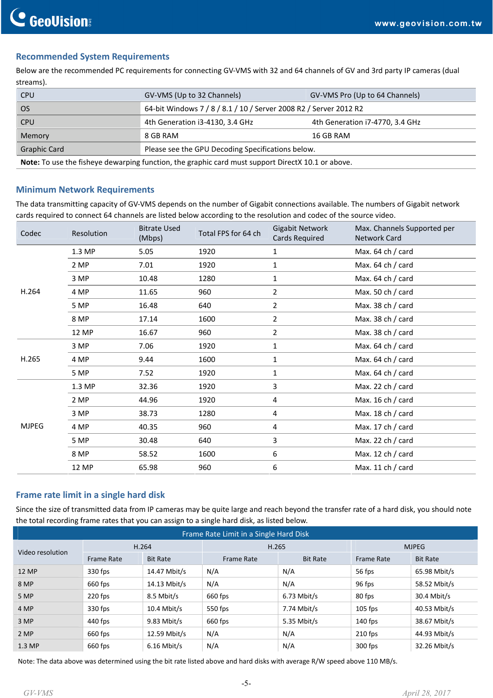#### **Recommended System Requirements**

Below are the recommended PC requirements for connecting GV‐VMS with 32 and 64 channels of GV and 3rd party IP cameras (dual streams).

| <b>CPU</b>                                                                                               | GV-VMS (Up to 32 Channels)                                        | GV-VMS Pro (Up to 64 Channels)  |  |
|----------------------------------------------------------------------------------------------------------|-------------------------------------------------------------------|---------------------------------|--|
| <b>OS</b>                                                                                                | 64-bit Windows 7 / 8 / 8.1 / 10 / Server 2008 R2 / Server 2012 R2 |                                 |  |
| <b>CPU</b>                                                                                               | 4th Generation i3-4130, 3.4 GHz                                   | 4th Generation i7-4770, 3.4 GHz |  |
| Memory                                                                                                   | 8 GB RAM                                                          | 16 GB RAM                       |  |
| <b>Graphic Card</b>                                                                                      | Please see the GPU Decoding Specifications below.                 |                                 |  |
| <b>Note:</b> To use the fisheye dewarping function, the graphic card must support DirectX 10.1 or above. |                                                                   |                                 |  |

#### **Minimum Network Requirements**

The data transmitting capacity of GV‐VMS depends on the number of Gigabit connections available. The numbers of Gigabit network cards required to connect 64 channels are listed below according to the resolution and codec of the source video.

|              | Resolution | <b>Bitrate Used</b><br>(Mbps) |                     | Gigabit Network | Max. Channels Supported per |
|--------------|------------|-------------------------------|---------------------|-----------------|-----------------------------|
| Codec        |            |                               | Total FPS for 64 ch | Cards Required  | <b>Network Card</b>         |
| H.264        | 1.3 MP     | 5.05                          | 1920                | $\mathbf{1}$    | Max. 64 ch / card           |
|              | 2 MP       | 7.01                          | 1920                | 1               | Max. 64 ch / card           |
|              | 3 MP       | 10.48                         | 1280                | 1               | Max. 64 ch / card           |
|              | 4 MP       | 11.65                         | 960                 | $\overline{2}$  | Max. 50 ch / card           |
|              | 5 MP       | 16.48                         | 640                 | $\overline{2}$  | Max. 38 ch / card           |
|              | 8 MP       | 17.14                         | 1600                | $\overline{2}$  | Max. 38 ch / card           |
|              | 12 MP      | 16.67                         | 960                 | $\overline{2}$  | Max. 38 ch / card           |
| H.265        | 3 MP       | 7.06                          | 1920                | 1               | Max. 64 ch / card           |
|              | 4 MP       | 9.44                          | 1600                | 1               | Max. 64 ch / card           |
|              | 5 MP       | 7.52                          | 1920                | 1               | Max. 64 ch / card           |
| <b>MJPEG</b> | 1.3 MP     | 32.36                         | 1920                | 3               | Max. 22 ch / card           |
|              | 2 MP       | 44.96                         | 1920                | 4               | Max. 16 ch / card           |
|              | 3 MP       | 38.73                         | 1280                | 4               | Max. 18 ch / card           |
|              | 4 MP       | 40.35                         | 960                 | 4               | Max. 17 ch / card           |
|              | 5 MP       | 30.48                         | 640                 | 3               | Max. 22 ch / card           |
|              | 8 MP       | 58.52                         | 1600                | 6               | Max. 12 ch / card           |
|              | 12 MP      | 65.98                         | 960                 | 6               | Max. 11 ch / card           |

#### **Frame rate limit in a single hard disk**

Since the size of transmitted data from IP cameras may be quite large and reach beyond the transfer rate of a hard disk, you should note the total recording frame rates that you can assign to a single hard disk, as listed below.

| Frame Rate Limit in a Single Hard Disk |                   |                 |                   |                 |                   |                 |
|----------------------------------------|-------------------|-----------------|-------------------|-----------------|-------------------|-----------------|
| Video resolution                       | H.264             |                 | H.265             |                 | <b>MJPEG</b>      |                 |
|                                        | <b>Frame Rate</b> | <b>Bit Rate</b> | <b>Frame Rate</b> | <b>Bit Rate</b> | <b>Frame Rate</b> | <b>Bit Rate</b> |
| 12 MP                                  | 330 fps           | 14.47 Mbit/s    | N/A               | N/A             | 56 fps            | 65.98 Mbit/s    |
| 8 MP                                   | 660 fps           | 14.13 Mbit/s    | N/A               | N/A             | 96 fps            | 58.52 Mbit/s    |
| 5 MP                                   | $220$ fps         | 8.5 Mbit/s      | 660 fps           | $6.73$ Mbit/s   | 80 fps            | 30.4 Mbit/s     |
| 4 MP                                   | 330 fps           | $10.4$ Mbit/s   | 550 fps           | 7.74 Mbit/s     | $105$ fps         | 40.53 Mbit/s    |
| 3 MP                                   | $440$ fps         | $9.83$ Mbit/s   | 660 fps           | 5.35 Mbit/s     | $140$ fps         | 38.67 Mbit/s    |
| 2 MP                                   | 660 fps           | 12.59 Mbit/s    | N/A               | N/A             | $210$ fps         | 44.93 Mbit/s    |
| 1.3 MP                                 | 660 fps           | $6.16$ Mbit/s   | N/A               | N/A             | $300$ fps         | 32.26 Mbit/s    |

Note: The data above was determined using the bit rate listed above and hard disks with average R/W speed above 110 MB/s.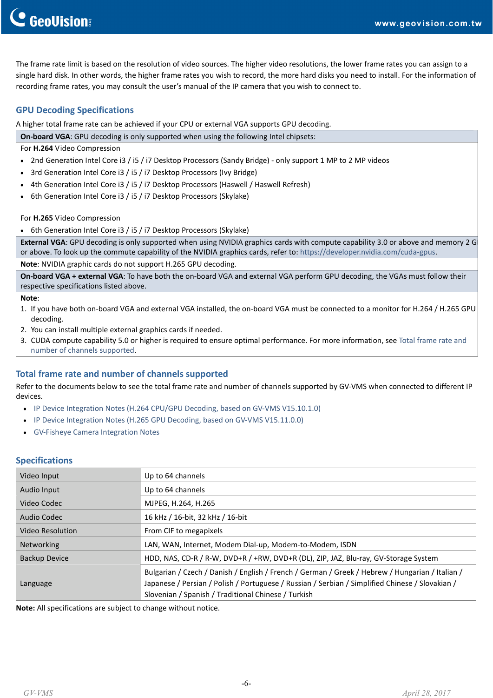The frame rate limit is based on the resolution of video sources. The higher video resolutions, the lower frame rates you can assign to a single hard disk. In other words, the higher frame rates you wish to record, the more hard disks you need to install. For the information of recording frame rates, you may consult the user's manual of the IP camera that you wish to connect to.

#### **GPU Decoding Specifications**

A higher total frame rate can be achieved if your CPU or external VGA supports GPU decoding.

| <b>On-board VGA:</b> GPU decoding is only supported when using the following Intel chipsets:                                                                                                                                                                     |
|------------------------------------------------------------------------------------------------------------------------------------------------------------------------------------------------------------------------------------------------------------------|
| For <b>H.264</b> Video Compression                                                                                                                                                                                                                               |
| • 2nd Generation Intel Core i3 / i5 / i7 Desktop Processors (Sandy Bridge) - only support 1 MP to 2 MP videos                                                                                                                                                    |
| • 3rd Generation Intel Core i3 / i5 / i7 Desktop Processors (Ivy Bridge)                                                                                                                                                                                         |
| • 4th Generation Intel Core i3 / i5 / i7 Desktop Processors (Haswell / Haswell Refresh)                                                                                                                                                                          |
| • 6th Generation Intel Core i3 / i5 / i7 Desktop Processors (Skylake)                                                                                                                                                                                            |
| For <b>H.265</b> Video Compression                                                                                                                                                                                                                               |
| • 6th Generation Intel Core i3 / i5 / i7 Desktop Processors (Skylake)                                                                                                                                                                                            |
| External VGA: GPU decoding is only supported when using NVIDIA graphics cards with compute capability 3.0 or above and memory 2 G<br>or above. To look up the commute capability of the NVIDIA graphics cards, refer to: https://developer.nvidia.com/cuda-gpus. |

**Note**: NVIDIA graphic cards do not support H.265 GPU decoding.

**On‐board VGA + external VGA**: To have both the on‐board VGA and external VGA perform GPU decoding, the VGAs must follow their respective specifications listed above.

**Note**:

- 1. If you have both on‐board VGA and external VGA installed, the on‐board VGA must be connected to a monitor for H.264 / H.265 GPU decoding.
- 2. You can install multiple external graphics cards if needed.
- 3. CUDA compute capability 5.0 or higher is required to ensure optimal performance. For more information, see Total [frame](http://pd.geovision.tw/technotice/IP_Camera/IP_device_integration_notes_VMSV151010.pdf) rate and number of channels [supported](http://pd.geovision.tw/technotice/IP_Camera/IP_device_integration_notes_VMSV151010.pdf).

#### **Total frame rate and number of channels supported**

Refer to the documents below to see the total frame rate and number of channels supported by GV-VMS when connected to different IP devices.

- IP Device Integration Notes (H.264 CPU/GPU Decoding, based on GV-VMS [V15.10.1.0\)](http://pd.geovision.tw/technotice/IP_Camera/IP_device_integration_notes_VMSV151010.pdf)
- IP Device Integration Notes (H.265 GPU Decoding, based on GV-VMS [V15.11.0.0\)](http://pd.geovision.tw/technotice/IP_Camera/GV-VMS_V15.11_Supports_H.265_GPU_Decoding.pdf)
- GV‐Fisheye Camera [Integration](http://pd.geovision.tw/technotice/IP_Camera/GV-FER12203_Integration_Notes.pdf) Notes

#### **Specifications**

| Video Input             | Up to 64 channels                                                                                                                                      |
|-------------------------|--------------------------------------------------------------------------------------------------------------------------------------------------------|
| Audio Input             | Up to 64 channels                                                                                                                                      |
| Video Codec             | MJPEG, H.264, H.265                                                                                                                                    |
| Audio Codec             | 16 kHz / 16-bit, 32 kHz / 16-bit                                                                                                                       |
| <b>Video Resolution</b> | From CIF to megapixels                                                                                                                                 |
| Networking              | LAN, WAN, Internet, Modem Dial-up, Modem-to-Modem, ISDN                                                                                                |
| <b>Backup Device</b>    | HDD, NAS, CD-R / R-W, DVD+R / +RW, DVD+R (DL), ZIP, JAZ, Blu-ray, GV-Storage System                                                                    |
|                         | Bulgarian / Czech / Danish / English / French / German / Greek / Hebrew / Hungarian / Italian /                                                        |
| Language                | Japanese / Persian / Polish / Portuguese / Russian / Serbian / Simplified Chinese / Slovakian /<br>Slovenian / Spanish / Traditional Chinese / Turkish |

**Note:** All specifications are subject to change without notice.